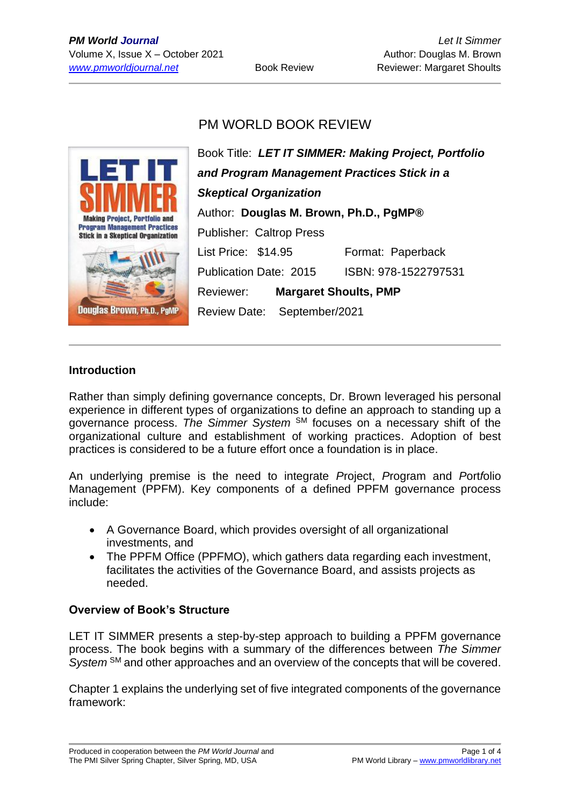## PM WORLD BOOK REVIEW



Book Title: *LET IT SIMMER: Making Project, Portfolio and Program Management Practices Stick in a Skeptical Organization* Author: **Douglas M. Brown, Ph.D., PgMP®** Publisher: Caltrop Press List Price: \$14.95 Format: Paperback Publication Date: 2015 ISBN: 978-1522797531 Reviewer: **Margaret Shoults, PMP** Review Date: September/2021

#### **Introduction**

Rather than simply defining governance concepts, Dr. Brown leveraged his personal experience in different types of organizations to define an approach to standing up a governance process. *The Simmer System* SM focuses on a necessary shift of the organizational culture and establishment of working practices. Adoption of best practices is considered to be a future effort once a foundation is in place.

An underlying premise is the need to integrate *P*roject, *P*rogram and *P*ort*f*olio Management (PPFM). Key components of a defined PPFM governance process include:

- A Governance Board, which provides oversight of all organizational investments, and
- The PPFM Office (PPFMO), which gathers data regarding each investment, facilitates the activities of the Governance Board, and assists projects as needed.

### **Overview of Book's Structure**

LET IT SIMMER presents a step-by-step approach to building a PPFM governance process. The book begins with a summary of the differences between *The Simmer System* SM and other approaches and an overview of the concepts that will be covered.

Chapter 1 explains the underlying set of five integrated components of the governance framework: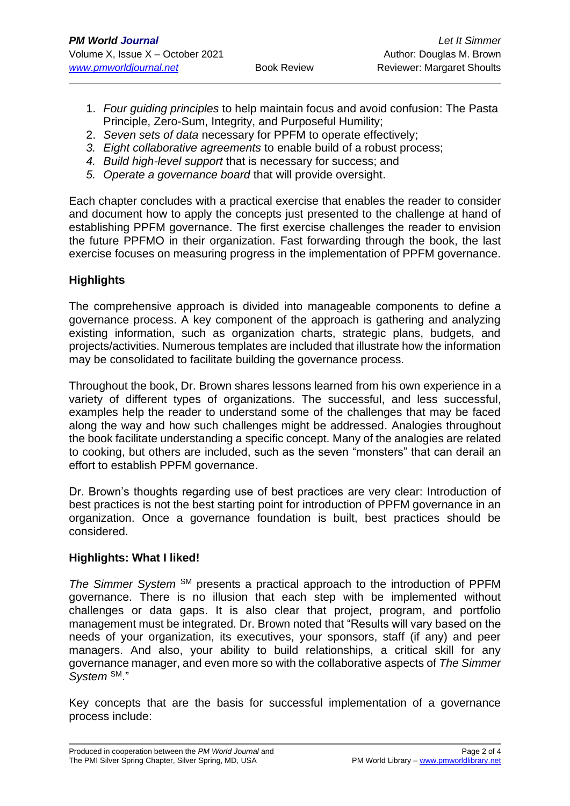- 1. *Four guiding principles* to help maintain focus and avoid confusion: The Pasta Principle, Zero-Sum, Integrity, and Purposeful Humility;
- 2. *Seven sets of data* necessary for PPFM to operate effectively;
- *3. Eight collaborative agreements* to enable build of a robust process;
- *4. Build high-level support* that is necessary for success; and
- *5. Operate a governance board* that will provide oversight.

Each chapter concludes with a practical exercise that enables the reader to consider and document how to apply the concepts just presented to the challenge at hand of establishing PPFM governance. The first exercise challenges the reader to envision the future PPFMO in their organization. Fast forwarding through the book, the last exercise focuses on measuring progress in the implementation of PPFM governance.

## **Highlights**

The comprehensive approach is divided into manageable components to define a governance process. A key component of the approach is gathering and analyzing existing information, such as organization charts, strategic plans, budgets, and projects/activities. Numerous templates are included that illustrate how the information may be consolidated to facilitate building the governance process.

Throughout the book, Dr. Brown shares lessons learned from his own experience in a variety of different types of organizations. The successful, and less successful, examples help the reader to understand some of the challenges that may be faced along the way and how such challenges might be addressed. Analogies throughout the book facilitate understanding a specific concept. Many of the analogies are related to cooking, but others are included, such as the seven "monsters" that can derail an effort to establish PPFM governance.

Dr. Brown's thoughts regarding use of best practices are very clear: Introduction of best practices is not the best starting point for introduction of PPFM governance in an organization. Once a governance foundation is built, best practices should be considered.

### **Highlights: What I liked!**

The Simmer System<sup>SM</sup> presents a practical approach to the introduction of PPFM governance. There is no illusion that each step with be implemented without challenges or data gaps. It is also clear that project, program, and portfolio management must be integrated. Dr. Brown noted that "Results will vary based on the needs of your organization, its executives, your sponsors, staff (if any) and peer managers. And also, your ability to build relationships, a critical skill for any governance manager, and even more so with the collaborative aspects of *The Simmer System* SM."

Key concepts that are the basis for successful implementation of a governance process include: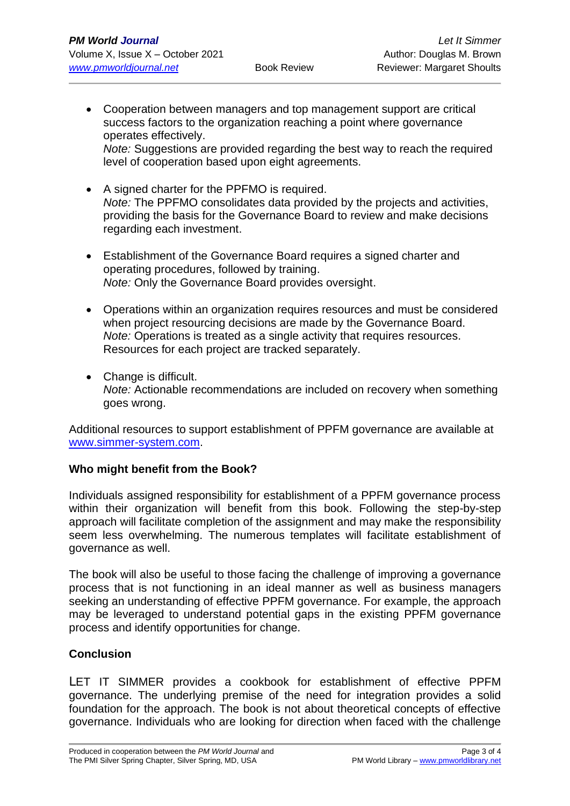• Cooperation between managers and top management support are critical success factors to the organization reaching a point where governance operates effectively. *Note:* Suggestions are provided regarding the best way to reach the required

level of cooperation based upon eight agreements.

- A signed charter for the PPFMO is required. *Note:* The PPFMO consolidates data provided by the projects and activities, providing the basis for the Governance Board to review and make decisions regarding each investment.
- Establishment of the Governance Board requires a signed charter and operating procedures, followed by training. *Note:* Only the Governance Board provides oversight.
- Operations within an organization requires resources and must be considered when project resourcing decisions are made by the Governance Board. *Note:* Operations is treated as a single activity that requires resources. Resources for each project are tracked separately.
- Change is difficult. *Note:* Actionable recommendations are included on recovery when something goes wrong.

Additional resources to support establishment of PPFM governance are available at [www.simmer-system.com.](http://www.simmer-system.com/)

### **Who might benefit from the Book?**

Individuals assigned responsibility for establishment of a PPFM governance process within their organization will benefit from this book. Following the step-by-step approach will facilitate completion of the assignment and may make the responsibility seem less overwhelming. The numerous templates will facilitate establishment of governance as well.

The book will also be useful to those facing the challenge of improving a governance process that is not functioning in an ideal manner as well as business managers seeking an understanding of effective PPFM governance. For example, the approach may be leveraged to understand potential gaps in the existing PPFM governance process and identify opportunities for change.

## **Conclusion**

LET IT SIMMER provides a cookbook for establishment of effective PPFM governance. The underlying premise of the need for integration provides a solid foundation for the approach. The book is not about theoretical concepts of effective governance. Individuals who are looking for direction when faced with the challenge